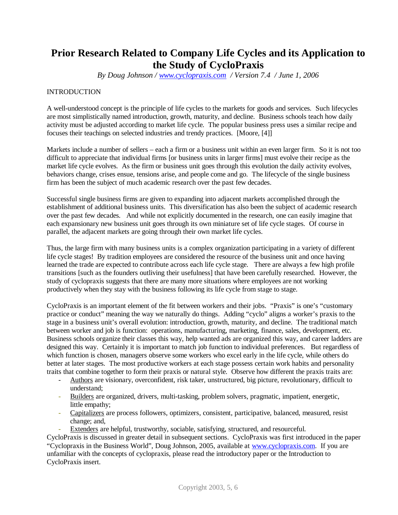# **Prior Research Related to Company Life Cycles and its Application to the Study of CycloPraxis**

*By Doug Johnson / [www.cyclopraxis.com](http://www.cyclopraxis.com) / Version 7.4 / June 1, 2006*

## INTRODUCTION

A well-understood concept is the principle of life cycles to the markets for goods and services. Such lifecycles are most simplistically named introduction, growth, maturity, and decline. Business schools teach how daily activity must be adjusted according to market life cycle. The popular business press uses a similar recipe and focuses their teachings on selected industries and trendy practices. [Moore, [4]]

Markets include a number of sellers – each a firm or a business unit within an even larger firm. So it is not too difficult to appreciate that individual firms [or business units in larger firms] must evolve their recipe as the market life cycle evolves. As the firm or business unit goes through this evolution the daily activity evolves, behaviors change, crises ensue, tensions arise, and people come and go. The lifecycle of the single business firm has been the subject of much academic research over the past few decades.

Successful single business firms are given to expanding into adjacent markets accomplished through the establishment of additional business units. This diversification has also been the subject of academic research over the past few decades. And while not explicitly documented in the research, one can easily imagine that each expansionary new business unit goes through its own miniature set of life cycle stages. Of course in parallel, the adjacent markets are going through their own market life cycles.

Thus, the large firm with many business units is a complex organization participating in a variety of different life cycle stages! By tradition employees are considered the resource of the business unit and once having learned the trade are expected to contribute across each life cycle stage. There are always a few high profile transitions [such as the founders outliving their usefulness] that have been carefully researched. However, the study of cyclopraxis suggests that there are many more situations where employees are not working productively when they stay with the business following its life cycle from stage to stage.

CycloPraxis is an important element of the fit between workers and their jobs. "Praxis" is one's "customary practice or conduct" meaning the way we naturally do things. Adding "cyclo" aligns a worker's praxis to the stage in a business unit's overall evolution: introduction, growth, maturity, and decline. The traditional match between worker and job is function: operations, manufacturing, marketing, finance, sales, development, etc. Business schools organize their classes this way, help wanted ads are organized this way, and career ladders are designed this way. Certainly it is important to match job function to individual preferences. But regardless of which function is chosen, managers observe some workers who excel early in the life cycle, while others do better at later stages. The most productive workers at each stage possess certain work habits and personality traits that combine together to form their praxis or natural style. Observe how different the praxis traits are:

- Authors are visionary, overconfident, risk taker, unstructured, big picture, revolutionary, difficult to understand;
- Builders are organized, drivers, multi-tasking, problem solvers, pragmatic, impatient, energetic, little empathy;
- Capitalizers are process followers, optimizers, consistent, participative, balanced, measured, resist change; and,
	- Extenders are helpful, trustworthy, sociable, satisfying, structured, and resourceful.

CycloPraxis is discussed in greater detail in subsequent sections. CycloPraxis was first introduced in the paper "Cyclopraxis in the Business World", Doug Johnson, 2005, available at [www.cyclopraxis.com.](http://www.cyclopraxis.com.) If you are unfamiliar with the concepts of cyclopraxis, please read the introductory paper or the Introduction to CycloPraxis insert.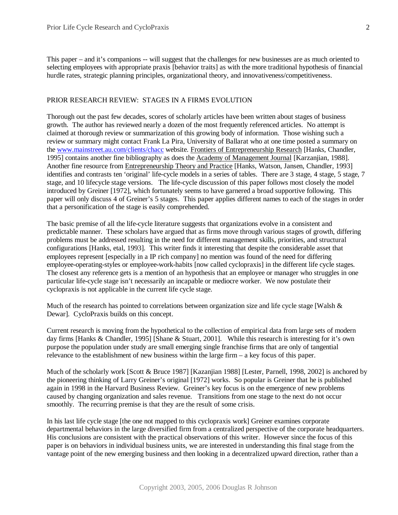This paper – and it's companions -- will suggest that the challenges for new businesses are as much oriented to selecting employees with appropriate praxis [behavior traits] as with the more traditional hypothesis of financial hurdle rates, strategic planning principles, organizational theory, and innovativeness/competitiveness.

## PRIOR RESEARCH REVIEW: STAGES IN A FIRMS EVOLUTION

Thorough out the past few decades, scores of scholarly articles have been written about stages of business growth. The author has reviewed nearly a dozen of the most frequently referenced articles. No attempt is claimed at thorough review or summarization of this growing body of information. Those wishing such a review or summary might contact Frank La Pira, University of Ballarat who at one time posted a summary on the [www.mainstreet.au.com/clients/chacc](http://www.mainstreet.au.com/clients/chacc) website. Frontiers of Entrepreneurship Research [Hanks, Chandler, 1995] contains another fine bibliography as does the Academy of Management Journal [Karzanjian, 1988]. Another fine resource from Entrepreneurship Theory and Practice [Hanks, Watson, Jansen, Chandler, 1993] identifies and contrasts ten 'original' life-cycle models in a series of tables. There are 3 stage, 4 stage, 5 stage, 7 stage, and 10 lifecycle stage versions. The life-cycle discussion of this paper follows most closely the model introduced by Greiner [1972], which fortunately seems to have garnered a broad supportive following. This paper will only discuss 4 of Greiner's 5 stages. This paper applies different names to each of the stages in order that a personification of the stage is easily comprehended.

The basic premise of all the life-cycle literature suggests that organizations evolve in a consistent and predictable manner. These scholars have argued that as firms move through various stages of growth, differing problems must be addressed resulting in the need for different management skills, priorities, and structural configurations [Hanks, etal, 1993]. This writer finds it interesting that despite the considerable asset that employees represent [especially in a IP rich company] no mention was found of the need for differing employee-operating-styles or employee-work-habits [now called cyclopraxis] in the different life cycle stages. The closest any reference gets is a mention of an hypothesis that an employee or manager who struggles in one particular life-cycle stage isn't necessarily an incapable or mediocre worker. We now postulate their cyclopraxis is not applicable in the current life cycle stage.

Much of the research has pointed to correlations between organization size and life cycle stage [Walsh  $\&$ Dewar]. CycloPraxis builds on this concept.

Current research is moving from the hypothetical to the collection of empirical data from large sets of modern day firms [Hanks & Chandler, 1995] [Shane & Stuart, 2001]. While this research is interesting for it's own purpose the population under study are small emerging single franchise firms that are only of tangential relevance to the establishment of new business within the large firm – a key focus of this paper.

Much of the scholarly work [Scott & Bruce 1987] [Kazanjian 1988] [Lester, Parnell, 1998, 2002] is anchored by the pioneering thinking of Larry Greiner's original [1972] works. So popular is Greiner that he is published again in 1998 in the Harvard Business Review. Greiner's key focus is on the emergence of new problems caused by changing organization and sales revenue. Transitions from one stage to the next do not occur smoothly. The recurring premise is that they are the result of some crisis.

In his last life cycle stage [the one not mapped to this cyclopraxis work] Greiner examines corporate departmental behaviors in the large diversified firm from a centralized perspective of the corporate headquarters. His conclusions are consistent with the practical observations of this writer. However since the focus of this paper is on behaviors in individual business units, we are interested in understanding this final stage from the vantage point of the new emerging business and then looking in a decentralized upward direction, rather than a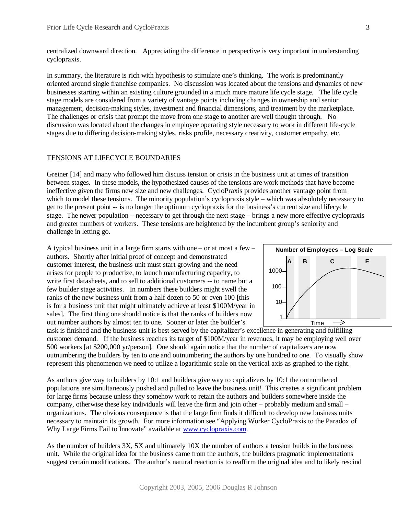centralized downward direction. Appreciating the difference in perspective is very important in understanding cyclopraxis.

In summary, the literature is rich with hypothesis to stimulate one's thinking. The work is predominantly oriented around single franchise companies. No discussion was located about the tensions and dynamics of new businesses starting within an existing culture grounded in a much more mature life cycle stage. The life cycle stage models are considered from a variety of vantage points including changes in ownership and senior management, decision-making styles, investment and financial dimensions, and treatment by the marketplace. The challenges or crisis that prompt the move from one stage to another are well thought through. No discussion was located about the changes in employee operating style necessary to work in different life-cycle stages due to differing decision-making styles, risks profile, necessary creativity, customer empathy, etc.

## TENSIONS AT LIFECYCLE BOUNDARIES

Greiner [14] and many who followed him discuss tension or crisis in the business unit at times of transition between stages. In these models, the hypothesized causes of the tensions are work methods that have become ineffective given the firms new size and new challenges. CycloPraxis provides another vantage point from which to model these tensions. The minority population's cyclopraxis style – which was absolutely necessary to get to the present point -- is no longer the optimum cyclopraxis for the business's current size and lifecycle stage. The newer population – necessary to get through the next stage – brings a new more effective cyclopraxis and greater numbers of workers. These tensions are heightened by the incumbent group's seniority and challenge in letting go.

A typical business unit in a large firm starts with one – or at most a few – authors. Shortly after initial proof of concept and demonstrated customer interest, the business unit must start growing and the need arises for people to productize, to launch manufacturing capacity, to write first datasheets, and to sell to additional customers -- to name but a few builder stage activities. In numbers these builders might swell the ranks of the new business unit from a half dozen to 50 or even 100 [this is for a business unit that might ultimately achieve at least \$100M/year in sales]. The first thing one should notice is that the ranks of builders now out number authors by almost ten to one. Sooner or later the builder's



task is finished and the business unit is best served by the capitalizer's excellence in generating and fulfilling customer demand. If the business reaches its target of \$100M/year in revenues, it may be employing well over 500 workers [at \$200,000 yr/person]. One should again notice that the number of capitalizers are now outnumbering the builders by ten to one and outnumbering the authors by one hundred to one. To visually show represent this phenomenon we need to utilize a logarithmic scale on the vertical axis as graphed to the right.

As authors give way to builders by 10:1 and builders give way to capitalizers by 10:1 the outnumbered populations are simultaneously pushed and pulled to leave the business unit! This creates a significant problem for large firms because unless they somehow work to retain the authors and builders somewhere inside the company, otherwise these key individuals will leave the firm and join other – probably medium and small – organizations. The obvious consequence is that the large firm finds it difficult to develop new business units necessary to maintain its growth. For more information see "Applying Worker CycloPraxis to the Paradox of Why Large Firms Fail to Innovate" available at [www.cyclopraxis.com.](http://www.cyclopraxis.com.)

As the number of builders 3X, 5X and ultimately 10X the number of authors a tension builds in the business unit. While the original idea for the business came from the authors, the builders pragmatic implementations suggest certain modifications. The author's natural reaction is to reaffirm the original idea and to likely rescind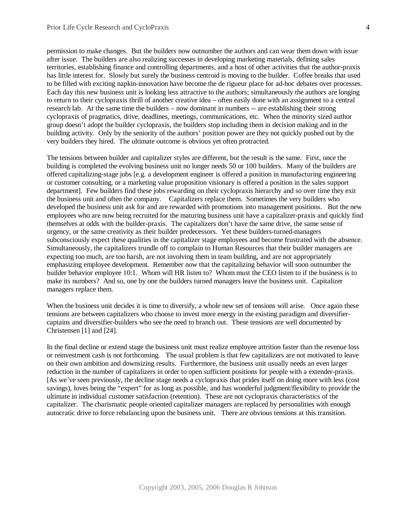permission to make changes. But the builders now outnumber the authors and can wear them down with issue after issue. The builders are also realizing successes in developing marketing materials, defining sales territories, establishing finance and controlling departments, and a host of other activities that the author-praxis has little interest for. Slowly but surely the business centroid is moving to the builder. Coffee breaks that used to be filled with exciting napkin-innovation have become the de rigueur place for ad-hoc debates over processes. Each day this new business unit is looking less attractive to the authors; simultaneously the authors are longing to return to their cyclopraxis thrill of another creative idea – often easily done with an assignment to a central research lab. At the same time the builders – now dominant in numbers -- are establishing their strong cyclopraxis of pragmatics, drive, deadlines, meetings, communications, etc. When the minority sized author group doesn't adopt the builder cyclopraxis, the builders stop including them in decision making and in the building activity. Only by the seniority of the authors' position power are they not quickly pushed out by the very builders they hired. The ultimate outcome is obvious yet often protracted.

The tensions between builder and capitalizer styles are different, but the result is the same. First, once the building is completed the evolving business unit no longer needs 50 or 100 builders. Many of the builders are offered capitalizing-stage jobs [e.g. a development engineer is offered a position in manufacturing engineering or customer consulting, or a marketing value proposition visionary is offered a position in the sales support department]. Few builders find these jobs rewarding on their cyclopraxis hierarchy and so over time they exit the business unit and often the company. Capitalizers replace them. Sometimes the very builders who developed the business unit ask for and are rewarded with promotions into management positions. But the new employees who are now being recruited for the maturing business unit have a capitalizer-praxis and quickly find themselves at odds with the builder-praxis. The capitalizers don't have the same drive, the same sense of urgency, or the same creativity as their builder predecessors. Yet these builders-turned-managers subconsciously expect these qualities in the capitalizer stage employees and become frustrated with the absence. Simultaneously, the capitalizers trundle off to complain to Human Resources that their builder managers are expecting too much, are too harsh, are not involving them in team building, and are not appropriately emphasizing employee development. Remember now that the capitalizing behavior will soon outnumber the builder behavior employee 10:1. Whom will HR listen to? Whom must the CEO listen to if the business is to make its numbers? And so, one by one the builders turned managers leave the business unit. Capitalizer managers replace them.

When the business unit decides it is time to diversify, a whole new set of tensions will arise. Once again these tensions are between capitalizers who choose to invest more energy in the existing paradigm and diversifiercaptains and diversifier-builders who see the need to branch out. These tensions are well documented by Christensen [1] and [24].

In the final decline or extend stage the business unit must realize employee attrition faster than the revenue loss or reinvestment cash is not forthcoming. The usual problem is that few capitalizers are not motivated to leave on their own ambition and downsizing results. Furthermore, the business unit usually needs an even larger reduction in the number of capitalizers in order to open sufficient positions for people with a extender-praxis. [As we've seen previously, the decline stage needs a cyclopraxis that prides itself on doing more with less (cost savings), loves being the "expert" for as long as possible, and has wonderful judgment/flexibility to provide the ultimate in individual customer satisfaction (retention). These are not cyclopraxis characteristics of the capitalizer. The charismatic people oriented capitalizer managers are replaced by personalities with enough autocratic drive to force rebalancing upon the business unit. There are obvious tensions at this transition.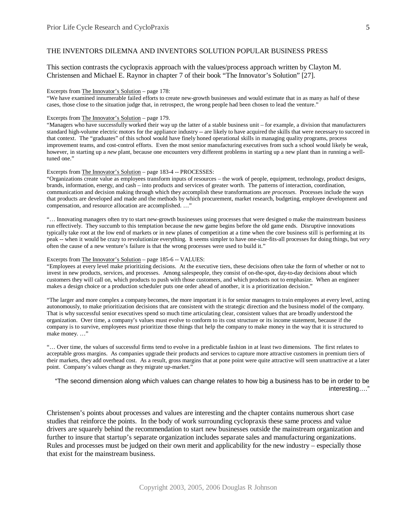### THE INVENTORS DILEMNA AND INVENTORS SOLUTION POPULAR BUSINESS PRESS

This section contrasts the cyclopraxis approach with the values/process approach written by Clayton M. Christensen and Michael E. Raynor in chapter 7 of their book "The Innovator's Solution" [27].

#### Excerpts from The Innovator's Solution – page 178:

"We have examined innumerable failed efforts to create new-growth businesses and would estimate that in as many as half of these cases, those close to the situation judge that, in retrospect, the wrong people had been chosen to lead the venture."

#### Excerpts from The Innovator's Solution – page 179.

"Managers who have successfully worked their way up the latter of a stable business unit – for example, a division that manufacturers standard high-volume electric motors for the appliance industry -- are likely to have acquired the skills that were necessary to succeed in that context. The "graduates" of this school would have finely honed operational skills in managing quality programs, process improvement teams, and cost-control efforts. Even the most senior manufacturing executives from such a school would likely be weak, however, in starting up a *new* plant, because one encounters very different problems in starting up a new plant than in running a welltuned one."

#### Excerpts from The Innovator's Solution – page 183-4 -- PROCESSES:

"Organizations create value as employees transform inputs of resources – the work of people, equipment, technology, product designs, brands, information, energy, and cash – into products and services of greater worth. The patterns of interaction, coordination, communication and decision making through which they accomplish these transformations are *processes*. Processes include the ways that products are developed and made and the methods by which procurement, market research, budgeting, employee development and compensation, and resource allocation are accomplished. … "

"… Innovating managers often try to start new-growth businesses using processes that were designed o make the mainstream business run effectively. They succumb to this temptation because the new game begins before the old game ends. Disruptive innovations typically take root at the low end of markets or in new planes of competition at a time when the core business still is performing at its peak -- when it would be crazy to revolutionize everything. It seems simpler to have one-size-fits-all processes for doing things, but *very* often the cause of a new venture's failure is that the wrong processes were used to build it."

#### Excerpts from The Innovator's Solution – page 185-6 -- VALUES:

"Employees at every level make prioritizing decisions. At the executive tiers, these decisions often take the form of whether or not to invest in new products, services, and processes. Among salespeople, they consist of on-the-spot, day-to-day decisions about which customers they will call on, which products to push with those customers, and which products not to emphasize. When an engineer makes a design choice or a production scheduler puts one order ahead of another, it is a prioritization decision."

"The larger and more complex a company becomes, the more important it is for senior managers to train employees at every level, acting autonomously, to make prioritization decisions that are consistent with the strategic direction and the business model of the company. That is why successful senior executives spend so much time articulating clear, consistent values that are broadly understood the organization. Over time, a company's values must evolve to conform to its cost structure or its income statement, because if the company is to survive, employees *must* prioritize those things that help the company to make money in the way that it is structured to make money...."

"… Over time, the values of successful firms tend to evolve in a predictable fashion in at least two dimensions. The first relates to acceptable gross margins. As companies upgrade their products and services to capture more attractive customers in premium tiers of their markets, they add overhead cost. As a result, gross margins that at pone point were quite attractive will seem unattractive at a later point. Company's values change as they migrate up-market."

"The second dimension along which values can change relates to how big a business has to be in order to be interesting… ."

Christensen's points about processes and values are interesting and the chapter contains numerous short case studies that reinforce the points. In the body of work surrounding cyclopraxis these same process and value drivers are squarely behind the recommendation to start new businesses outside the mainstream organization and further to insure that startup's separate organization includes separate sales and manufacturing organizations. Rules and processes must be judged on their own merit and applicability for the new industry – especially those that exist for the mainstream business.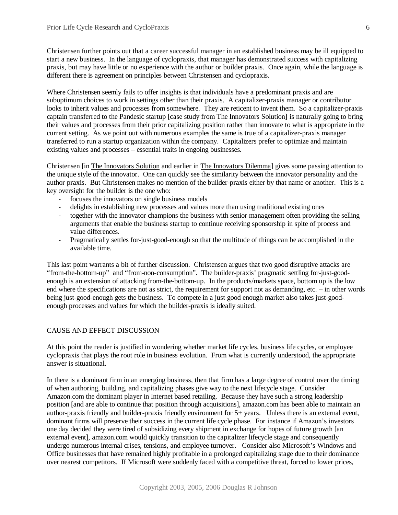Christensen further points out that a career successful manager in an established business may be ill equipped to start a new business. In the language of cyclopraxis, that manager has demonstrated success with capitalizing praxis, but may have little or no experience with the author or builder praxis. Once again, while the language is different there is agreement on principles between Christensen and cyclopraxis.

Where Christensen seemly fails to offer insights is that individuals have a predominant praxis and are suboptimum choices to work in settings other than their praxis. A capitalizer-praxis manager or contributor looks to inherit values and processes from somewhere. They are reticent to invent them. So a capitalizer-praxis captain transferred to the Pandesic startup [case study from The Innovators Solution] is naturally going to bring their values and processes from their prior capitalizing position rather than innovate to what is appropriate in the current setting. As we point out with numerous examples the same is true of a capitalizer-praxis manager transferred to run a startup organization within the company. Capitalizers prefer to optimize and maintain existing values and processes – essential traits in ongoing businesses.

Christensen [in The Innovators Solution and earlier in The Innovators Dilemma] gives some passing attention to the unique style of the innovator. One can quickly see the similarity between the innovator personality and the author praxis. But Christensen makes no mention of the builder-praxis either by that name or another. This is a key oversight for the builder is the one who:

- focuses the innovators on single business models
- delights in establishing new processes and values more than using traditional existing ones
- together with the innovator champions the business with senior management often providing the selling arguments that enable the business startup to continue receiving sponsorship in spite of process and value differences.
- Pragmatically settles for-just-good-enough so that the multitude of things can be accomplished in the available time.

This last point warrants a bit of further discussion. Christensen argues that two good disruptive attacks are "from-the-bottom-up" and "from-non-consumption". The builder-praxis' pragmatic settling for-just-goodenough is an extension of attacking from-the-bottom-up. In the products/markets space, bottom up is the low end where the specifications are not as strict, the requirement for support not as demanding, etc. – in other words being just-good-enough gets the business. To compete in a just good enough market also takes just-goodenough processes and values for which the builder-praxis is ideally suited.

## CAUSE AND EFFECT DISCUSSION

At this point the reader is justified in wondering whether market life cycles, business life cycles, or employee cyclopraxis that plays the root role in business evolution. From what is currently understood, the appropriate answer is situational.

In there is a dominant firm in an emerging business, then that firm has a large degree of control over the timing of when authoring, building, and capitalizing phases give way to the next lifecycle stage. Consider Amazon.com the dominant player in Internet based retailing. Because they have such a strong leadership position [and are able to continue that position through acquisitions], amazon.com has been able to maintain an author-praxis friendly and builder-praxis friendly environment for 5+ years. Unless there is an external event, dominant firms will preserve their success in the current life cycle phase. For instance if Amazon's investors one day decided they were tired of subsidizing every shipment in exchange for hopes of future growth [an external event], amazon.com would quickly transition to the capitalizer lifecycle stage and consequently undergo numerous internal crises, tensions, and employee turnover. Consider also Microsoft's Windows and Office businesses that have remained highly profitable in a prolonged capitalizing stage due to their dominance over nearest competitors. If Microsoft were suddenly faced with a competitive threat, forced to lower prices,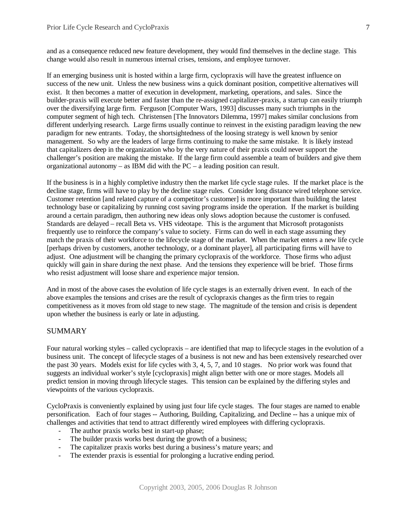and as a consequence reduced new feature development, they would find themselves in the decline stage. This change would also result in numerous internal crises, tensions, and employee turnover.

If an emerging business unit is hosted within a large firm, cyclopraxis will have the greatest influence on success of the new unit. Unless the new business wins a quick dominant position, competitive alternatives will exist. It then becomes a matter of execution in development, marketing, operations, and sales. Since the builder-praxis will execute better and faster than the re-assigned capitalizer-praxis, a startup can easily triumph over the diversifying large firm. Ferguson [Computer Wars, 1993] discusses many such triumphs in the computer segment of high tech. Christensen [The Innovators Dilemma, 1997] makes similar conclusions from different underlying research. Large firms usually continue to reinvest in the existing paradigm leaving the new paradigm for new entrants. Today, the shortsightedness of the loosing strategy is well known by senior management. So why are the leaders of large firms continuing to make the same mistake. It is likely instead that capitalizers deep in the organization who by the very nature of their praxis could never support the challenger's position are making the mistake. If the large firm could assemble a team of builders and give them organizational autonomy – as IBM did with the PC – a leading position can result.

If the business is in a highly completive industry then the market life cycle stage rules. If the market place is the decline stage, firms will have to play by the decline stage rules. Consider long distance wired telephone service. Customer retention [and related capture of a competitor's customer] is more important than building the latest technology base or capitalizing by running cost saving programs inside the operation. If the market is building around a certain paradigm, then authoring new ideas only slows adoption because the customer is confused. Standards are delayed – recall Beta vs. VHS videotape. This is the argument that Microsoft protagonists frequently use to reinforce the company's value to society. Firms can do well in each stage assuming they match the praxis of their workforce to the lifecycle stage of the market. When the market enters a new life cycle [perhaps driven by customers, another technology, or a dominant player], all participating firms will have to adjust. One adjustment will be changing the primary cyclopraxis of the workforce. Those firms who adjust quickly will gain in share during the next phase. And the tensions they experience will be brief. Those firms who resist adjustment will loose share and experience major tension.

And in most of the above cases the evolution of life cycle stages is an externally driven event. In each of the above examples the tensions and crises are the result of cyclopraxis changes as the firm tries to regain competitiveness as it moves from old stage to new stage. The magnitude of the tension and crisis is dependent upon whether the business is early or late in adjusting.

## **SUMMARY**

Four natural working styles – called cyclopraxis – are identified that map to lifecycle stages in the evolution of a business unit. The concept of lifecycle stages of a business is not new and has been extensively researched over the past 30 years. Models exist for life cycles with 3, 4, 5, 7, and 10 stages. No prior work was found that suggests an individual worker's style [cyclopraxis] might align better with one or more stages. Models all predict tension in moving through lifecycle stages. This tension can be explained by the differing styles and viewpoints of the various cyclopraxis.

CycloPraxis is conveniently explained by using just four life cycle stages. The four stages are named to enable personification. Each of four stages -- Authoring, Building, Capitalizing, and Decline -- has a unique mix of challenges and activities that tend to attract differently wired employees with differing cyclopraxis.

- The author praxis works best in start-up phase;
- The builder praxis works best during the growth of a business;
- The capitalizer praxis works best during a business's mature years; and
- The extender praxis is essential for prolonging a lucrative ending period.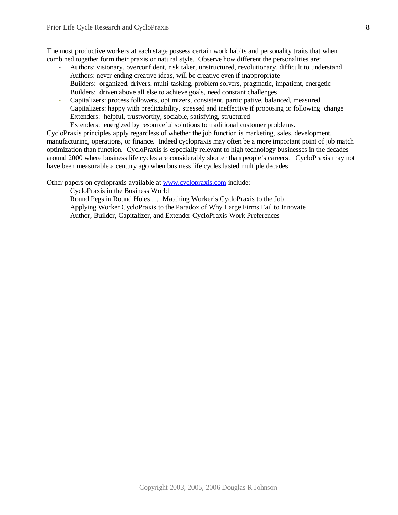The most productive workers at each stage possess certain work habits and personality traits that when combined together form their praxis or natural style. Observe how different the personalities are:

- Authors: visionary, overconfident, risk taker, unstructured, revolutionary, difficult to understand Authors: never ending creative ideas, will be creative even if inappropriate
- Builders: organized, drivers, multi-tasking, problem solvers, pragmatic, impatient, energetic Builders: driven above all else to achieve goals, need constant challenges
- Capitalizers: process followers, optimizers, consistent, participative, balanced, measured Capitalizers: happy with predictability, stressed and ineffective if proposing or following change
- Extenders: helpful, trustworthy, sociable, satisfying, structured Extenders: energized by resourceful solutions to traditional customer problems.

CycloPraxis principles apply regardless of whether the job function is marketing, sales, development, manufacturing, operations, or finance. Indeed cyclopraxis may often be a more important point of job match optimization than function. CycloPraxis is especially relevant to high technology businesses in the decades around 2000 where business life cycles are considerably shorter than people's careers. CycloPraxis may not have been measurable a century ago when business life cycles lasted multiple decades.

Other papers on cyclopraxis available at [www.cyclopraxis.com](http://www.cyclopraxis.com) include:

CycloPraxis in the Business World

Round Pegs in Round Holes … Matching Worker's CycloPraxis to the Job Applying Worker CycloPraxis to the Paradox of Why Large Firms Fail to Innovate Author, Builder, Capitalizer, and Extender CycloPraxis Work Preferences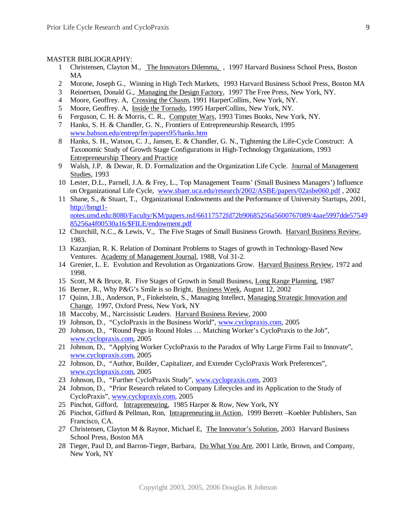#### MASTER BIBLIOGRAPHY:

- 1 Christensen, Clayton M., The Innovators Dilemma, , 1997 Harvard Business School Press, Boston MA
- 2 Morone, Joseph G., Winning in High Tech Markets, 1993 Harvard Business School Press, Boston MA
- 3 Reinertsen, Donald G., Managing the Design Factory, 1997 The Free Press, New York, NY.
- 4 Moore, Geoffrey. A, Crossing the Chasm, 1991 HarperCollins, New York, NY.
- 5 Moore, Geoffrey. A, Inside the Tornado, 1995 HarperCollins, New York, NY.
- 6 Ferguson, C. H. & Morris, C. R., Computer Wars, 1993 Times Books, New York, NY.
- 7 Hanks, S. H. & Chandler, G. N., Frontiers of Entrepreneurship Research, 1995 [www.babson.edu/entrep/fer/papers95/hanks.htm](http://www.babson.edu/entrep/fer/papers95/hanks.htm)
- 8 Hanks, S. H., Watson, C. J., Jansen, E. & Chandler, G. N., Tightening the Life-Cycle Construct: A Taxonomic Study of Growth Stage Configurations in High-Technology Organizations, 1993 Entrepreneurship Theory and Practice
- 9 Walsh, J.P. & Dewar, R. D. Formalization and the Organization Life Cycle. Journal of Management Studies, 1993
- 10 Lester, D.L., Parnell, J.A. & Frey, L., Top Management Teams' (Small Business Managers') Influence on Organizational Life Cycle, [www.sbaer.uca.edu/research/2002/ASBE/papers/02asbe060.pdf](http://www.sbaer.uca.edu/research/2002/ASBE/papers/02asbe060.pdf) , 2002
- 11 Shane, S., & Stuart, T., Organizational Endowments and the Performance of University Startups, 2001, http://bmgt1-

notes.umd.edu:8080/Faculty/KM/papers.nsf/66117572fd72b90685256a5600767089/4aae5997dde57549 85256a4f00530a16/\$FILE/endowment.pdf

- 12 Churchill, N.C., & Lewis, V., The Five Stages of Small Business Growth. Harvard Business Review, 1983.
- 13 Kazanjian, R. K. Relation of Dominant Problems to Stages of growth in Technology-Based New Ventures. Academy of Management Journal, 1988, Vol 31-2.
- 14 Grenier, L. E. Evolution and Revolution as Organizations Grow. Harvard Business Review, 1972 and 1998.
- 15 Scott, M & Bruce, R. Five Stages of Growth in Small Business, Long Range Planning, 1987
- 16 Berner, R., Why P&G's Smile is so Bright, Business Week, August 12, 2002
- 17 Quinn, J.B., Anderson, P., Finkelstein, S., Managing Intellect, Managing Strategic Innovation and Change, 1997, Oxford Press, New York, NY
- 18 Maccoby, M., Narcissistic Leaders. Harvard Business Review, 2000
- 19 Johnson, D., "CycloPraxis in the Business World", [www.cyclopraxis.com](http://www.cyclopraxis.com), 2005
- 20 Johnson, D., "Round Pegs in Round Holes … Matching Worker's CycloPraxis to the Job", [www.cyclopraxis.com](http://www.cyclopraxis.com), 2005
- 21 Johnson, D., "Applying Worker CycloPraxis to the Paradox of Why Large Firms Fail to Innovate", [www.cyclopraxis.com](http://www.cyclopraxis.com), 2005
- 22 Johnson, D., "Author, Builder, Capitalizer, and Extender CycloPraxis Work Preferences", [www.cyclopraxis.com](http://www.cyclopraxis.com), 2005
- 23 Johnson, D., "Further CycloPraxis Study", [www.cyclopraxis.com](http://www.cyclopraxis.com), 2003
- 24 Johnson, D., "Prior Research related to Company Lifecycles and its Application to the Study of CycloPraxis", [www.cyclopraxis.com](http://www.cyclopraxis.com), 2005
- 25 Pinchot, Gifford, *Intrapreneuring*, 1985 Harper & Row, New York, NY
- 26 Pinchot, Gifford & Pellman, Ron, Intrapreneuring in Action, 1999 Berrett –Koehler Publishers, San Francisco, CA.
- 27 Christensen, Clayton M & Raynor, Michael E, The Innovator's Solution, 2003 Harvard Business School Press, Boston MA
- 28 Tieger, Paul D, and Barron-Tieger, Barbara, Do What You Are, 2001 Little, Brown, and Company, New York, NY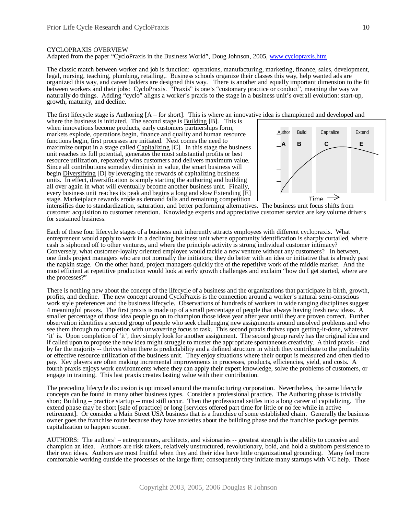#### CYCLOPRAXIS OVERVIEW

Adapted from the paper "CycloPraxis in the Business World", Doug Johnson, 2005, [www.cyclopraxis.htm](http://www.cyclopraxis.htm)

The classic match between worker and job is function: operations, manufacturing, marketing, finance, sales, development, legal, nursing, teaching, plumbing, retailing,. Business schools organize their classes this way, help wanted ads are organized this way, and career ladders are designed this way. There is another and equally important dimension to the fit between workers and their jobs: CycloPraxis. "Praxis" is one's "customary practice or conduct", meaning the way we naturally do things. Adding "cyclo" aligns a worker's praxis to the stage in a business unit's overall evolution: start-up, growth, maturity, and decline.

The first lifecycle stage is Authoring [A – for short]. This is where an innovative idea is championed and developed and

where the business is initiated. The second stage is **Building [B]**. This is when innovations become products, early customers partnerships form, markets explode, operations begin, finance and quality and human resource functions begin, first processes are initiated. Next comes the need to maximize output in a stage called Capitalizing [C]. In this stage the business unit reaches its full potential, generates the most substantial profits or best resource utilization, repeatedly wins customers and delivers maximum value. Since all contributions someday diminish in value, the smart business will begin Diversifying [D] by leveraging the rewards of capitalizing business units. In effect, diversification is simply starting the authoring and building all over again in what will eventually become another business unit. Finally, every business unit reaches its peak and begins a long and slow Extending [E] stage. Marketplace rewards erode as demand falls and remaining competition



intensifies due to standardization, saturation, and better performing alternatives. The business unit focus shifts from customer acquisition to customer retention. Knowledge experts and appreciative customer service are key volume drivers for sustained business.

Each of these four lifecycle stages of a business unit inherently attracts employees with different cyclopraxis. What entrepreneur would apply to work in a declining business unit where opportunity identification is sharply curtailed, where cash is siphoned off to other ventures, and where the principle activity is strong individual customer intimacy? Conversely, what customer-loyalty oriented employee would tackle a new venture without any customers? In between, one finds project managers who are not normally the initiators; they do better with an idea or initiative that is already past the napkin stage. On the other hand, project managers quickly tire of the repetitive work of the middle market. And the most efficient at repetitive production would look at early growth challenges and exclaim "how do I get started, where are the processes?"

There is nothing new about the concept of the lifecycle of a business and the organizations that participate in birth, growth, profits, and decline. The new concept around CycloPraxis is the connection around a worker's natural semi-conscious work style preferences and the business lifecycle. Observations of hundreds of workers in wide ranging disciplines suggest 4 meaningful praxes. The first praxis is made up of a small percentage of people that always having fresh new ideas. A smaller percentage of those idea people go on to champion those ideas year after year until they are proven correct. Further observation identifies a second group of people who seek challenging new assignments around unsolved problems and who see them through to completion with unwavering focus to task. This second praxis thrives upon getting-it-done, whatever 'it' is. Upon completion of 'it', they simply look for another assignment. The second group rarely has the original idea and if called upon to propose the new idea might struggle to muster the appropriate spontaneous creativity. A third praxis – and by far the majority -- thrives when there is predictability and a defined structure in which they contribute to the profitability or effective resource utilization of the business unit. They enjoy situations where their output is measured and often tied to pay. Key players are often making incremental improvements in processes, products, efficiencies, yield, and costs. A fourth praxis enjoys work environments where they can apply their expert knowledge, solve the problems of customers, or engage in training. This last praxis creates lasting value with their contribution.

The preceding lifecycle discussion is optimized around the manufacturing corporation. Nevertheless, the same lifecycle concepts can be found in many other business types. Consider a professional practice. The Authoring phase is trivially short; Building – practice startup -- must still occur. Then the professional settles into a long career of capitalizing. The extend phase may be short [sale of practice] or long [services offered part time for little or no fee while in active retirement]. Or consider a Main Street USA business that is a franchise of some established chain. Generally the business owner goes the franchise route because they have anxieties about the building phase and the franchise package permits capitalization to happen sooner.

AUTHORS: The authors' – entrepreneurs, architects, and visionaries -- greatest strength is the ability to conceive and champion an idea. Authors are risk takers, relatively unstructured, revolutionary, bold, and hold a stubborn persistence to their own ideas. Authors are most fruitful when they and their idea have little organizational grounding. Many feel more comfortable working outside the processes of the large firm; consequently they initiate many startups with VC help. Those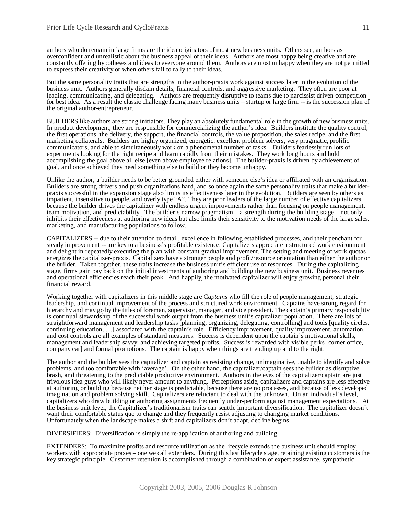authors who do remain in large firms are the idea originators of most new business units. Others see, authors as overconfident and unrealistic about the business appeal of their ideas. Authors are most happy being creative and are constantly offering hypotheses and ideas to everyone around them. Authors are most unhappy when they are not permitted to express their creativity or when others fail to rally to their ideas.

But the same personality traits that are strengths in the author-praxis work against success later in the evolution of the business unit. Authors generally disdain details, financial controls, and aggressive marketing. They often are poor at leading, communicating, and delegating. Authors are frequently disruptive to teams due to narcissist driven competition for best idea. As a result the classic challenge facing many business units – startup or large firm -- is the succession plan of the original author-entrepreneur.

BUILDERS like authors are strong initiators. They play an absolutely fundamental role in the growth of new business units. In product development, they are responsible for commercializing the author's idea. Builders institute the quality control, the first operations, the delivery, the support, the financial controls, the value proposition, the sales recipe, and the first marketing collaterals. Builders are highly organized, energetic, excellent problem solvers, very pragmatic, prolific communicators, and able to simultaneously work on a phenomenal number of tasks. Builders fearlessly run lots of experiments looking for the right recipe and learn rapidly from their mistakes. They work long hours and hold accomplishing the goal above all else [even above employee relations]. The builder-praxis is driven by achievement of goal, and once achieved they need something else to build or they become unhappy.

Unlike the author, a builder needs to be better grounded either with someone else's idea or affiliated with an organization. Builders are strong drivers and push organizations hard, and so once again the same personality traits that make a builderpraxis successful in the expansion stage also limits its effectiveness later in the evolution. Builders are seen by others as impatient, insensitive to people, and overly type "A". They are poor leaders of the large number of effective capitalizers because the builder drives the capitalizer with endless urgent improvements rather than focusing on people management, team motivation, and predictability. The builder's narrow pragmatism – a strength during the building stage – not only inhibits their effectiveness at authoring new ideas but also limits their sensitivity to the motivation needs of the large sales, marketing, and manufacturing populations to follow.

CAPITALIZERS -- due to their attention to detail, excellence in following established processes, and their penchant for steady improvement -- are key to a business's profitable existence. Capitalizers appreciate a structured work environment and delight in repeatedly executing the plan with constant gradual improvement. The setting and meeting of work quotas energizes the capitalizer-praxis. Capitalizers have a stronger people and profit/resource orientation than either the author or the builder. Taken together, these traits increase the business unit's efficient use of resources. During the capitalizing stage, firms gain pay back on the initial investments of authoring and building the new business unit. Business revenues and operational efficiencies reach their peak. And happily, the motivated capitalizer will enjoy growing personal their financial reward.

Working together with capitalizers in this middle stage are C*aptains* who fill the role of people management, strategic leadership, and continual improvement of the process and structured work environment. Captains have strong regard for hierarchy and may go by the titles of foreman, supervisor, manager, and vice president. The captain's primary responsibility is continual stewardship of the successful work output from the business unit's capitalizer population. There are lots of straightforward management and leadership tasks [planning, organizing, delegating, controlling] and tools [quality circles, continuing education, … ] associated with the captain's role. Efficiency improvement, quality improvement, automation, and cost controls are all examples of standard measures. Success is dependent upon the captain's motivational skills, management and leadership savvy, and achieving targeted profits. Success is rewarded with visible perks [corner office, company car] and formal promotions. The captain is happy when things are trending up and to the right.

The author and the builder sees the capitalizer and captain as resisting change, unimaginative, unable to identify and solve problems, and too comfortable with 'average'. On the other hand, the capitalizer/captain sees the builder as disruptive, brash, and threatening to the predictable productive environment. Authors in the eyes of the capitalizer/captain are just frivolous idea guys who will likely never amount to anything. Perceptions aside, capitalizers and captains are less effective at authoring or building because neither stage is predictable, because there are no processes, and because of less developed imagination and problem solving skill. Capitalizers are reluctant to deal with the unknown. On an individual's level, capitalizers who draw building or authoring assignments frequently under-perform against management expectations. At the business unit level, the Capitalizer's traditionalism traits can scuttle important diversification. The capitalizer doesn't want their comfortable status quo to change and they frequently resist adjusting to changing market conditions. Unfortunately when the landscape makes a shift and capitalizers don't adapt, decline begins.

DIVERSIFIERS: Diversification is simply the re-application of authoring and building.

EXTENDERS: To maximize profits and resource utilization as the lifecycle extends the business unit should employ workers with appropriate praxes – one we call extenders. During this last lifecycle stage, retaining existing customers is the key strategic principle. Customer retention is accomplished through a combination of expert assistance, sympathetic